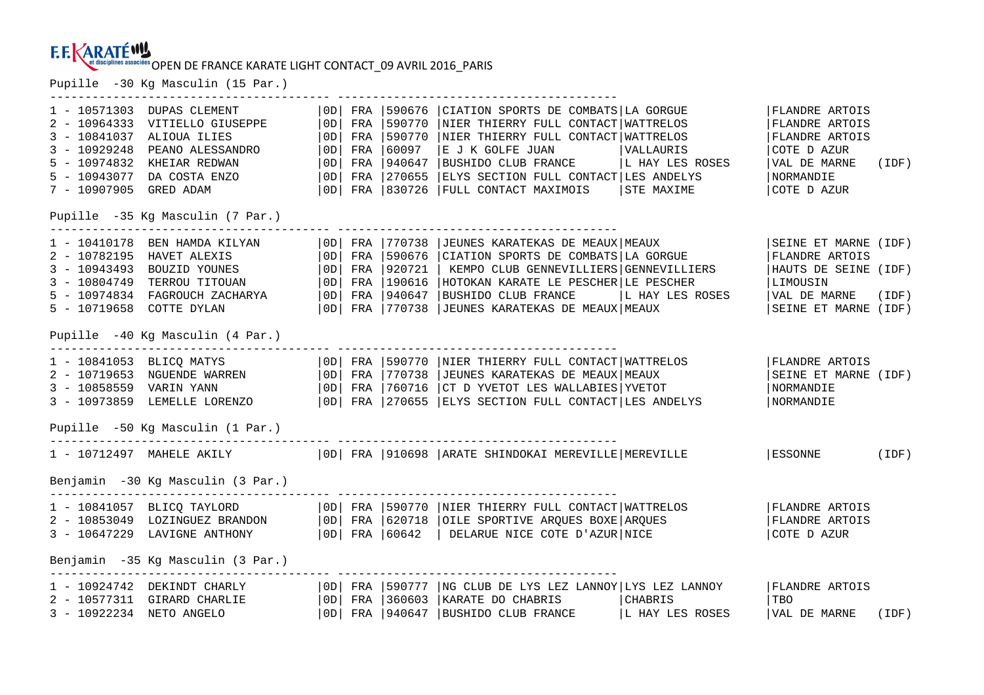#### **E.E.KARATÉW!** et disciplines associées OPEN DE FRANCE KARATE LIGHT CONTACT\_09 AVRIL 2016 PARIS

Pupille -30 Kg Masculin (15 Par.)

---------------------------------------- ---------------------------------------- | OD | FRA | 590676 | CIATION SPORTS DE COMBATS | LA GORGUE 1 - 10571303 DUPAS CLEMENT |0D| FRA |590676 |CIATION SPORTS DE COMBATS|LA GORGUE |FLANDRE ARTOIS 2 - 10964333 VITIELLO GIUSEPPE |0D| FRA |590770 |NIER THIERRY FULL CONTACT|WATTRELOS |FLANDRE ARTOIS 3 - 10841037 ALIOUA ILIES |0D| FRA |590770 |NIER THIERRY FULL CONTACT|WATTRELOS |FLANDRE ARTOIS 3 - 10929248 PEANO ALESSANDRO |0D| FRA |60097 |E J K GOLFE JUAN |VALLAURIS |COTE D AZUR 5 - 10974832 KHEIAR REDWAN |0D| FRA |940647 |BUSHIDO CLUB FRANCE |L HAY LES ROSES |VAL DE MARNE (IDF) 5 - 10943077 DA COSTA ENZO |0D| FRA |270655 |ELYS SECTION FULL CONTACT|LES ANDELYS |NORMANDIE 7 - 10907905 GRED ADAM |0D| FRA |830726 |FULL CONTACT MAXIMOIS |STE MAXIME |COTE D AZUR Pupille -35 Kg Masculin (7 Par.) ---------------------------------------- ---------------------------------------- 1 - 10410178 BEN HAMDA KILYAN (OD| FRA | 770738 | JEUNES KARATEKAS DE MEAUX|MEAUX | SEINE ET MARNE (IDF)<br>2 - 10782195 HAVET ALEXIS (OD| FRA | 590676 | CIATION SPORTS DE COMBATS|LA GORGUE | FLANDRE ARTOIS<br>3 - 10943493 BOUZI Pupille -40 Kg Masculin (4 Par.) ---------------------------------------- ---------------------------------------- 1 - 10841053 BLICQ MATYS |0D| FRA |590770 |NIER THIERRY FULL CONTACT|WATTRELOS |FLANDRE ARTOIS 2 - 10719653 NGUENDE WARREN |0D| FRA |770738 |JEUNES KARATEKAS DE MEAUX|MEAUX |SEINE ET MARNE (IDF) 3 - 10858559 VARIN YANN |0D| FRA |760716 |CT D YVETOT LES WALLABIES|YVETOT |NORMANDIE 3 - 10973859 LEMELLE LORENZO |0D| FRA |270655 |ELYS SECTION FULL CONTACT|LES ANDELYS |NORMANDIE Pupille -50 Kg Masculin (1 Par.) ---------------------------------------- ---------------------------------------- 1 - 10712497 MAHELE AKILY |0D| FRA |910698 |ARATE SHINDOKAI MEREVILLE|MEREVILLE |ESSONNE (IDF) Benjamin -30 Kg Masculin (3 Par.) ---------------------------------------- ---------------------------------------- 1 - 10841057 BLICQ TAYLORD |0D| FRA |590770 |NIER THIERRY FULL CONTACT|WATTRELOS |FLANDRE ARTOIS 2 - 10853049 LOZINGUEZ BRANDON |0D| FRA |620718 |OILE SPORTIVE ARQUES BOXE|ARQUES |FLANDRE ARTOIS 3 - 10647229 LAVIGNE ANTHONY |0D| FRA |60642 | DELARUE NICE COTE D'AZUR|NICE |COTE D AZUR Benjamin -35 Kg Masculin (3 Par.) ---------------------------------------- ---------------------------------------- 1 - 10924742 DEKINDT CHARLY | 0D| FRA |590777 |NG CLUB DE LYS LEZ LANNOY|LYS LEZ LANNOY | |FLANDRE ARTOIS<br>2 - 10577311 GIRARD CHARLIE | 0D| FRA |360603 |KARATE DO CHABRIS | |CHABRIS | |TBO | |TBO<br>3 - 10922234 NETO ANGELO |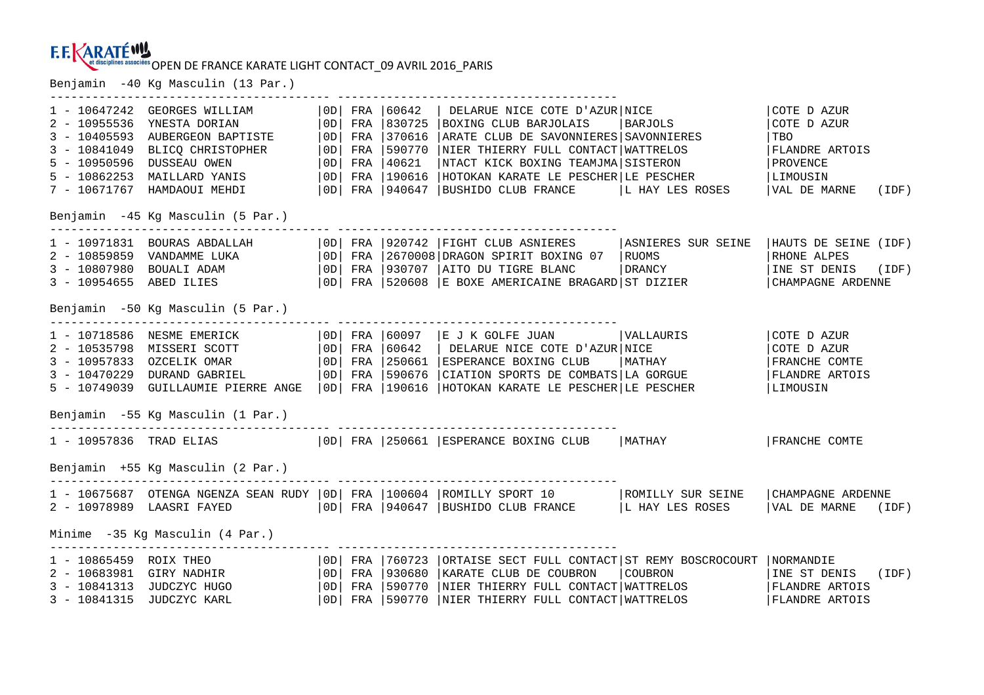Benjamin -40 Kg Masculin (13 Par.)

|                                   |                                                                                                                                                                                                                                                                        |  |  |  | -------------------------------                                                                                                                                                                                                      |                    |                            |  |  |  |  |  |
|-----------------------------------|------------------------------------------------------------------------------------------------------------------------------------------------------------------------------------------------------------------------------------------------------------------------|--|--|--|--------------------------------------------------------------------------------------------------------------------------------------------------------------------------------------------------------------------------------------|--------------------|----------------------------|--|--|--|--|--|
|                                   | 1 - 10647242 GEORGES WILLIAM<br>2 - 10955536 YNESTA DORIAN<br>3 - 10405593 AUBERGEON BAPTISTE   0D   FRA   370616<br>3 - 10841049 BLICQ CHRISTOPHER   0D   FRA   370616<br>5 - 10950596 DUSSEAU OWEN   0D   FRA   40621<br>5 - 10862253 MAILLARD YANIS   0D   FRA   19 |  |  |  | OD   FRA   60642   DELARUE NICE COTE D'AZUR   NICE<br>BOXING CLUB BARJOLAIS   BARJOLS                                                                                                                                                |                    | COTE D AZUR<br>COTE D AZUR |  |  |  |  |  |
|                                   |                                                                                                                                                                                                                                                                        |  |  |  | ARATE CLUB DE SAVONNIERES SAVONNIERES                                                                                                                                                                                                |                    | TBO                        |  |  |  |  |  |
|                                   |                                                                                                                                                                                                                                                                        |  |  |  | NIER THIERRY FULL CONTACT WATTRELOS                                                                                                                                                                                                  |                    | FLANDRE ARTOIS             |  |  |  |  |  |
|                                   |                                                                                                                                                                                                                                                                        |  |  |  | NTACT KICK BOXING TEAMJMA SISTERON                                                                                                                                                                                                   |                    | PROVENCE                   |  |  |  |  |  |
|                                   |                                                                                                                                                                                                                                                                        |  |  |  | HOTOKAN KARATE LE PESCHER LE PESCHER                                                                                                                                                                                                 |                    | LIMOUSIN                   |  |  |  |  |  |
|                                   |                                                                                                                                                                                                                                                                        |  |  |  | 7 - 10671767 HAMDAOUI MEHDI $ 0D $ FRA $ 940647$ BUSHIDO CLUB FRANCE $ L$ HAY LES ROSES                                                                                                                                              |                    | VAL DE MARNE (IDF)         |  |  |  |  |  |
| Benjamin -45 Kg Masculin (5 Par.) |                                                                                                                                                                                                                                                                        |  |  |  |                                                                                                                                                                                                                                      |                    |                            |  |  |  |  |  |
|                                   |                                                                                                                                                                                                                                                                        |  |  |  | $1$ - 10971831 BOURAS ABDALLAH $ 0D $ FRA $ 920742$ FIGHT CLUB ASNIERES                                                                                                                                                              | ASNIERES SUR SEINE | HAUTS DE SEINE (IDF)       |  |  |  |  |  |
|                                   |                                                                                                                                                                                                                                                                        |  |  |  |                                                                                                                                                                                                                                      |                    |                            |  |  |  |  |  |
|                                   |                                                                                                                                                                                                                                                                        |  |  |  |                                                                                                                                                                                                                                      |                    | INE ST DENIS (IDF)         |  |  |  |  |  |
|                                   |                                                                                                                                                                                                                                                                        |  |  |  | 2 – 10859859 VANDAMME LUKA (OD FRA 2670008 DRAGON SPIRIT BOXING 07 RUOMS (RHONE ALPES )<br>3 – 10807980 BOUALI ADAM (OD FRA 930707 AITO DU TIGRE BLANC ) DRANCY (INE ST DENIS (ID 11) (INE ST DENIS (ID 1<br>3 – 10954655 ABED ILIES |                    |                            |  |  |  |  |  |
| Benjamin -50 Kg Masculin (5 Par.) |                                                                                                                                                                                                                                                                        |  |  |  |                                                                                                                                                                                                                                      |                    |                            |  |  |  |  |  |
|                                   |                                                                                                                                                                                                                                                                        |  |  |  | 1 - 10718586 NESME EMERICK   0D  FRA   60097   E J K GOLFE JUAN   VALLAURIS<br>2 - 10535798 MISSERI SCOTT   0D  FRA   60642   DELARUE NICE COTE D'AZUR NICE<br>3 - 10957833 OZCELIKOMAR   0D  FRA   250661   ESPERANCE BOXING CLUB   |                    | COTE D AZUR                |  |  |  |  |  |
|                                   |                                                                                                                                                                                                                                                                        |  |  |  |                                                                                                                                                                                                                                      |                    | COTE D AZUR                |  |  |  |  |  |
|                                   |                                                                                                                                                                                                                                                                        |  |  |  |                                                                                                                                                                                                                                      | MATHAY             | FRANCHE COMTE              |  |  |  |  |  |
|                                   | $3 - 10470229$ DURAND GABRIEL $ 0D $ FRA 1590676                                                                                                                                                                                                                       |  |  |  | CIATION SPORTS DE COMBATS LA GORGUE                                                                                                                                                                                                  |                    | <b>FLANDRE ARTOIS</b>      |  |  |  |  |  |
|                                   |                                                                                                                                                                                                                                                                        |  |  |  | 5 - 10749039 GUILLAUMIE PIERRE ANGE   OD   FRA   190616   HOTOKAN KARATE LE PESCHER   LE PESCHER                                                                                                                                     |                    | LIMOUSIN                   |  |  |  |  |  |
|                                   | Benjamin -55 Kg Masculin (1 Par.)                                                                                                                                                                                                                                      |  |  |  |                                                                                                                                                                                                                                      |                    |                            |  |  |  |  |  |
|                                   |                                                                                                                                                                                                                                                                        |  |  |  | 1 - 10957836 TRAD ELIAS   OD  FRA   250661   ESPERANCE BOXING CLUB   MATHAY                                                                                                                                                          |                    | FRANCHE COMTE              |  |  |  |  |  |
|                                   | Benjamin +55 Kg Masculin (2 Par.)                                                                                                                                                                                                                                      |  |  |  |                                                                                                                                                                                                                                      |                    |                            |  |  |  |  |  |
|                                   |                                                                                                                                                                                                                                                                        |  |  |  | 1 - 10675687 OTENGA NGENZA SEAN RUDY   0D   FRA   100604   ROMILLY SPORT 10   ROMILLY SUR SEINE   CHAMPAGNE ARDENNE                                                                                                                  |                    |                            |  |  |  |  |  |
|                                   |                                                                                                                                                                                                                                                                        |  |  |  | $2 - 10978989$ LAASRI FAYED $ 0D $ FRA 940647 BUSHIDO CLUB FRANCE L HAY LES ROSES                                                                                                                                                    |                    | VAL DE MARNE (IDF)         |  |  |  |  |  |
|                                   | Minime -35 Kg Masculin (4 Par.)                                                                                                                                                                                                                                        |  |  |  |                                                                                                                                                                                                                                      |                    |                            |  |  |  |  |  |
|                                   |                                                                                                                                                                                                                                                                        |  |  |  | 1 - 10865459 ROIX THEO   OD   FRA   760723   ORTAISE SECT FULL CONTACT   ST REMY BOSCROCOURT   NORMANDIE                                                                                                                             |                    |                            |  |  |  |  |  |
|                                   | 2 - 10683981 GIRY NADHIR   OD  FRA   930680                                                                                                                                                                                                                            |  |  |  | KARATE CLUB DE COUBRON                                                                                                                                                                                                               | COUBRON            | INE ST DENIS (IDF)         |  |  |  |  |  |
|                                   | 3 - 10841313 JUDCZYC HUGO   OD   FRA   590770                                                                                                                                                                                                                          |  |  |  | NIER THIERRY FULL CONTACT WATTRELOS                                                                                                                                                                                                  |                    | FLANDRE ARTOIS             |  |  |  |  |  |
|                                   | 3 - 10841315 JUDCZYC KARL                                                                                                                                                                                                                                              |  |  |  | OD   FRA   590770   NIER THIERRY FULL CONTACT   WATTRELOS                                                                                                                                                                            |                    | FLANDRE ARTOIS             |  |  |  |  |  |
|                                   |                                                                                                                                                                                                                                                                        |  |  |  |                                                                                                                                                                                                                                      |                    |                            |  |  |  |  |  |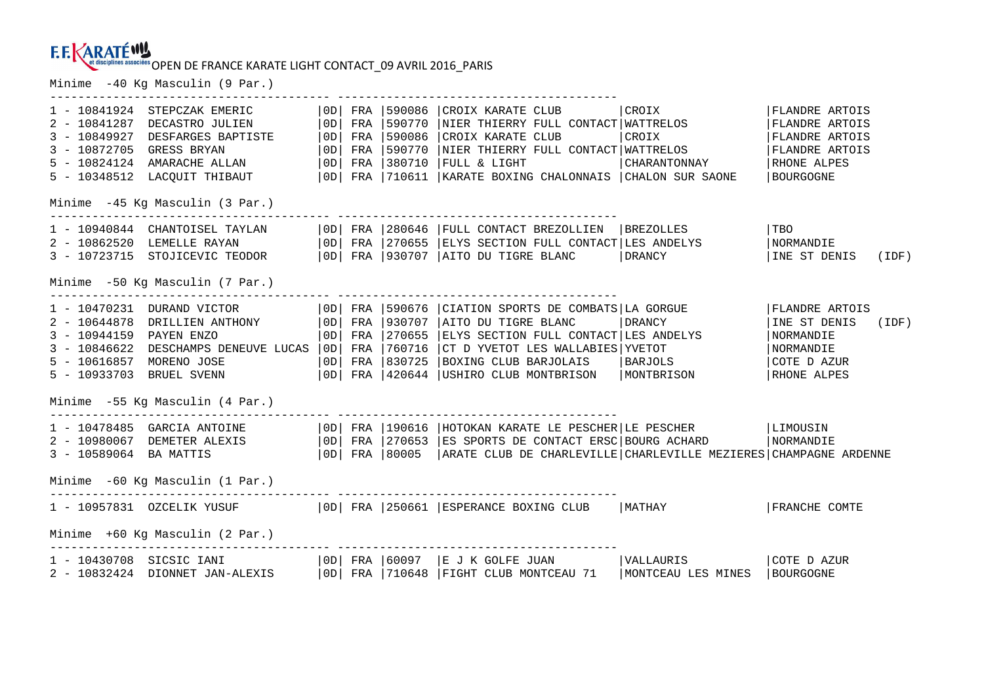### **F.F. KARATÉWY** et disciplines associées OPEN DE FRANCE KARATE LIGHT CONTACT\_09 AVRIL 2016 PARIS

---------------------------------------- ----------------------------------------

Minime -40 Kg Masculin (9 Par.)

| OD | FRA | 590086 | CROIX KARATE CLUB | CROIX 1 - 10841924 STEPCZAK EMERIC | 0D| FRA | 590086 | CROIX KARATE CLUB | CROIX | CROIX | FLANDRE ARTOIS<br>2 - 10841287 DECASTRO JULIEN | 0D| FRA | 590770 | NIER THIERRY FULL CONTACT | WATTRELOS | FLANDRE ARTOIS<br>3 - 10872705 GRE Minime -45 Kg Masculin (3 Par.) 1 - 10940844 CHANTOISEL TAYLAN |0D| FRA |280646 |FULL CONTACT BREZOLLIEN |BREZOLLES |TBO 2 – 10862520 LEMELLE RAYAN |OD| FRA |270655 |ELYS SECTION FULL CONTACT|LES ANDELYS |NORMANDIE<br>3 – 10723715 STOJICEVIC TEODOR |OD| FRA |930707 |AITO DU TIGRE BLANC |DRANCY |INE ST Minime -50 Kg Masculin (7 Par.) ---------------------------------------- ---------------------------------------- 1 - 10470231 DURAND VICTOR (100 | FRA | 590676 | CIATION SPORTS DE COMBATS | LA GORGUE | FLANDRE ARTOIS<br>2 - 10644878 DRILLIEN ANTHONY | 0D | FRA | 930707 | AITO DU TIGRE BLANC | DRANCY | INE ST DENIS (IDF)<br>3 - 10944159 PAY COTE D AZUR 5 - 10616857 MORENO JOSE |0D| FRA |830725 |BOXING CLUB BARJOLAIS |BARJOLS |COTE D AZUR RHONE ALPES 5 - 10933703 BRUEL SVENN |0D| FRA |420644 |USHIRO CLUB MONTBRISON |MONTBRISON |RHONE ALPES Minime -55 Kg Masculin (4 Par.) ---------------------------------------- ---------------------------------------- 1 - 10478485 GARCIA ANTOINE |OD| FRA |190616 |HOTOKAN KARATE LE PESCHER|LE PESCHER |LIMOUSIN<br>2 - 10980067 DEMETER ALEXIS |OD| FRA |270653 |ES SPORTS DE CONTACT ERSC|BOURG ACHARD |NORMANDIE<br>3 - Minime -60 Kg Masculin (1 Par.) ---------------------------------------- ---------------------------------------- 1 - 10957831 OZCELIK YUSUF | 0D| FRA |250661 |ESPERANCE BOXING CLUB | MATHAY | | |FRANCHE COMTE Minime +60 Kg Masculin (2 Par.) ---------------------------------------- ---------------------------------------- 1 - 10430708 SICSIC IANI |0D| FRA |60097 |E J K GOLFE JUAN |VALLAURIS |COTE D AZUR 2 - 10832424 DIONNET JAN-ALEXIS | OD| FRA | 710648 | FIGHT CLUB MONTCEAU 71 | MONTCEAU LES MINES | BOURGOGNE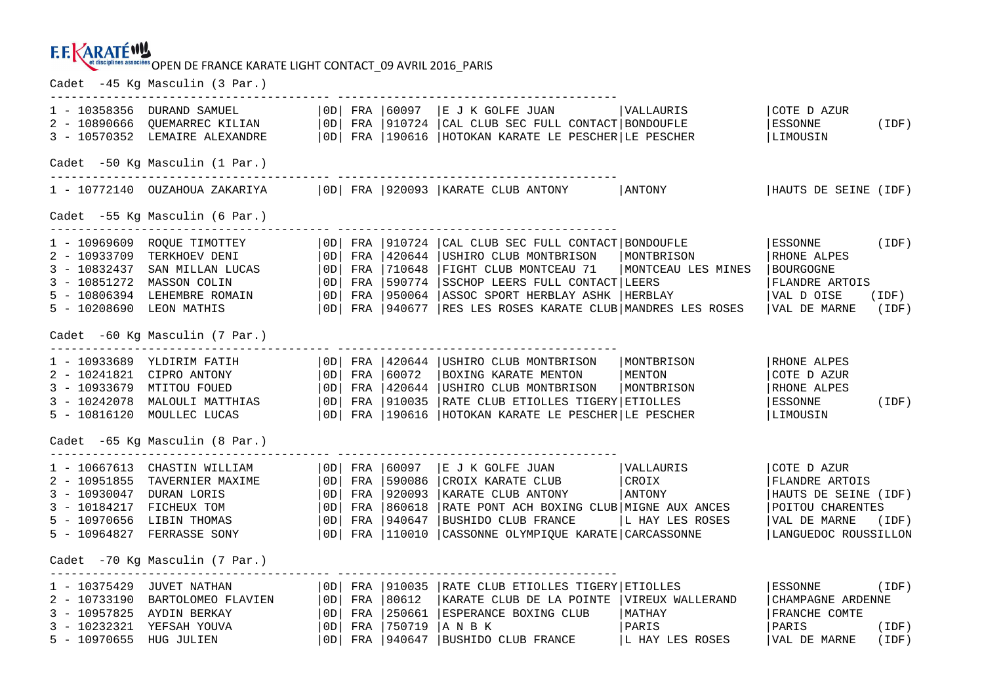Cadet -45 Kg Masculin (3 Par.)

|                                                       |                                                                                                                                                                                                   |  |  |  | 1 - 10358356 DURAND SAMUEL   0D  FRA   60097   E J K GOLFE JUAN   VALLAURIS<br>2 - 10890666 QUEMARREC KILIAN   0D  FRA   910724   CAL CLUB SEC FULL CONTACT   BONDOUFLE<br>3 - 10570352 LEMAIRE ALEXANDRE   0D  FRA   190616   HOTOK                                                                                                                                                                                                    |                                                | COTE D AZUR<br>ESSONNE<br>LIMOUSIN                                                                                      | (IDF)                   |  |  |  |  |
|-------------------------------------------------------|---------------------------------------------------------------------------------------------------------------------------------------------------------------------------------------------------|--|--|--|-----------------------------------------------------------------------------------------------------------------------------------------------------------------------------------------------------------------------------------------------------------------------------------------------------------------------------------------------------------------------------------------------------------------------------------------|------------------------------------------------|-------------------------------------------------------------------------------------------------------------------------|-------------------------|--|--|--|--|
| Cadet -50 Kg Masculin (1 Par.)                        |                                                                                                                                                                                                   |  |  |  |                                                                                                                                                                                                                                                                                                                                                                                                                                         |                                                |                                                                                                                         |                         |  |  |  |  |
|                                                       | 1 - 10772140 OUZAHOUA ZAKARIYA                                                                                                                                                                    |  |  |  | OD   FRA   920093   KARATE CLUB ANTONY   ANTONY                                                                                                                                                                                                                                                                                                                                                                                         |                                                | HAUTS DE SEINE (IDF)                                                                                                    |                         |  |  |  |  |
| Cadet -55 Kg Masculin (6 Par.)                        |                                                                                                                                                                                                   |  |  |  |                                                                                                                                                                                                                                                                                                                                                                                                                                         |                                                |                                                                                                                         |                         |  |  |  |  |
| 3 - 10851272 MASSON COLIN<br>5 - 10208690 LEON MATHIS |                                                                                                                                                                                                   |  |  |  | 1 - 10969609 ROQUE TIMOTTEY   OD  FRA   910724   CAL CLUB SEC FULL CONTACT   BONDOUFLE<br>2 - 10933709 TERKHOEV DENI   OD  FRA   420644   USHIRO CLUB MONTBRISON   MONTBRISON<br>3 - 10832437 SAN MILLAN LUCAS   OD  FRA   710648  <br>$ 0D $ FRA $ 590774$ SSCHOP LEERS FULL CONTACT LEERS<br>5 - 10806394 LEHEMBRE ROMAIN   OD   FRA   950064   ASSOC SPORT HERBLAY ASHK<br>OD FRA 940677 RES LES ROSES KARATE CLUB MANDRES LES ROSES | HERBLAY                                        | ESSONNE (IDF)<br>RHONE ALPES<br>  BOURGOGNE<br>FLANDRE ARTOIS<br>VAL D OISE<br>VAL DE MARNE (IDF)                       | (IDF)                   |  |  |  |  |
|                                                       | Cadet -60 Kg Masculin (7 Par.)                                                                                                                                                                    |  |  |  |                                                                                                                                                                                                                                                                                                                                                                                                                                         |                                                |                                                                                                                         |                         |  |  |  |  |
|                                                       |                                                                                                                                                                                                   |  |  |  | 5 - 10816120 MOULLEC LUCAS $ 0D $ FRA 190616 HOTOKAN KARATE LE PESCHER LE PESCHER                                                                                                                                                                                                                                                                                                                                                       |                                                | RHONE ALPES<br>COTE D AZUR<br>RHONE ALPES<br>ESSONNE<br>LIMOUSIN                                                        | (IDF)                   |  |  |  |  |
|                                                       | Cadet -65 Kg Masculin (8 Par.)                                                                                                                                                                    |  |  |  |                                                                                                                                                                                                                                                                                                                                                                                                                                         |                                                |                                                                                                                         |                         |  |  |  |  |
|                                                       | 1 - 10667613 CHASTIN WILLIAM   OD  FRA   60097                                                                                                                                                    |  |  |  | E J K GOLFE JUAN   VALLAURIS<br>2 - 10951855 TAVERNIER MAXIME<br>3 - 10930047 DURAN LORIS<br>3 - 10930047 DURAN LORIS<br>3 - 10930047 DURAN LORIS<br>3 - 10930047 DURAN LORIS<br>3 - 10930047 DURAN LORIS<br>3 - 10930047 DURAN LORIS<br>3 - 10930047 DURAN LORIS<br>3 - 10930<br>  KARATE CLUB ANTONY   ANTONY<br>RATE PONT ACH BOXING CLUB MIGNE AUX ANCES                                                                            | L HAY LES ROSES                                | COTE D AZUR<br>FLANDRE ARTOIS<br>HAUTS DE SEINE (IDF)<br>POITOU CHARENTES<br>VAL DE MARNE (IDF)<br>LANGUEDOC ROUSSILLON |                         |  |  |  |  |
|                                                       | Cadet -70 Kg Masculin (7 Par.)                                                                                                                                                                    |  |  |  |                                                                                                                                                                                                                                                                                                                                                                                                                                         |                                                |                                                                                                                         |                         |  |  |  |  |
| 1 - 10375429 JUVET NATHAN                             | OD   FRA   910035<br>2 - 10733190 BARTOLOMEO FLAVIEN   OD  FRA   80612<br>3 - 10957825 AYDIN BERKAY   OD  FRA   250661<br>3 - 10232321 YEFSAH YOUVA   OD  FRA   750719<br>5 - 10970655 HUG JULIEN |  |  |  | RATE CLUB ETIOLLES TIGERY ETIOLLES<br>KARATE CLUB DE LA POINTE VIREUX WALLERAND<br>ESPERANCE BOXING CLUB<br>ANBK<br>OD   FRA   940647   BUSHIDO CLUB FRANCE                                                                                                                                                                                                                                                                             | MATHAY<br> MATHAY<br> PARIS<br>L HAY LES ROSES | ESSONNE<br>CHAMPAGNE ARDENNE<br>FRANCHE COMTE<br>PARIS<br>VAL DE MARNE                                                  | (IDF)<br>(IDF)<br>(IDF) |  |  |  |  |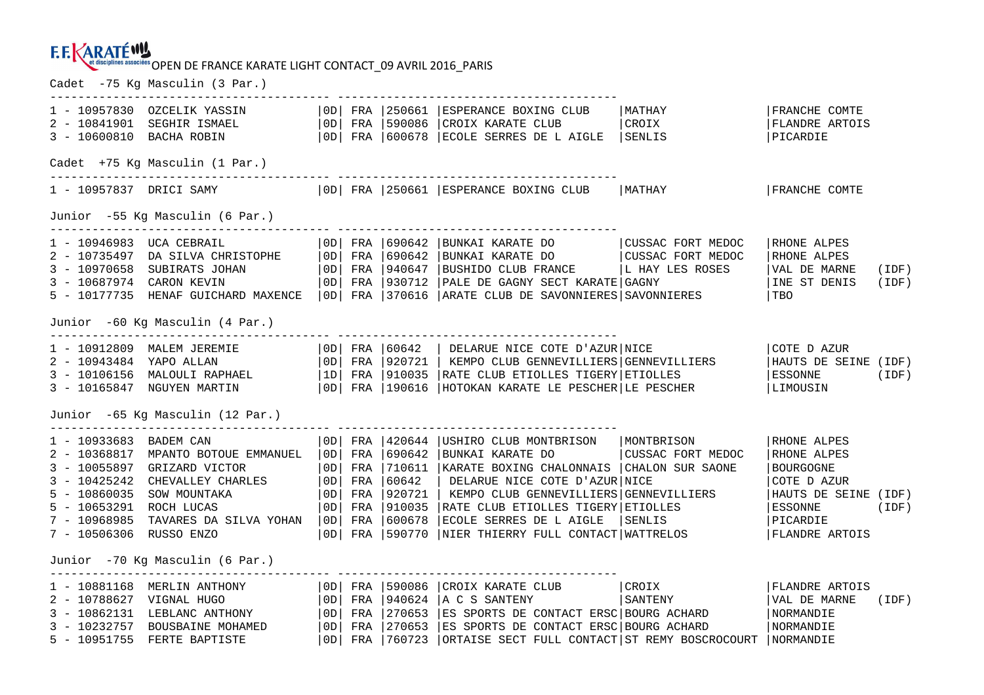Cadet -75 Kg Masculin (3 Par.)

|                                                                   | $1 - 10957830$ OZCELIK YASSIN $ 0D $ FRA $ 250661$ |  |            |        | ESPERANCE BOXING CLUB<br>2 - 10841901 SEGHIR ISMAEL   0D   FRA   590086   CROIX KARATE CLUB<br>3 - 10600810 BACHA ROBIN   OD  FRA   600678   ECOLE SERRES DE LAIGLE   SENLIS                                                                                                                                                                                                                 | MATHAY<br>CROIX             | FRANCHE COMTE<br>FLANDRE ARTOIS<br>PICARDIE                                                                               |                |  |  |  |  |
|-------------------------------------------------------------------|----------------------------------------------------|--|------------|--------|----------------------------------------------------------------------------------------------------------------------------------------------------------------------------------------------------------------------------------------------------------------------------------------------------------------------------------------------------------------------------------------------|-----------------------------|---------------------------------------------------------------------------------------------------------------------------|----------------|--|--|--|--|
| Cadet +75 Kg Masculin (1 Par.)                                    |                                                    |  |            |        |                                                                                                                                                                                                                                                                                                                                                                                              |                             |                                                                                                                           |                |  |  |  |  |
|                                                                   |                                                    |  |            |        | 1 - 10957837 DRICI SAMY   0D   FRA   250661   ESPERANCE BOXING CLUB   MATHAY                                                                                                                                                                                                                                                                                                                 |                             | FRANCHE COMTE                                                                                                             |                |  |  |  |  |
| Junior -55 Kg Masculin (6 Par.)                                   |                                                    |  |            |        |                                                                                                                                                                                                                                                                                                                                                                                              |                             |                                                                                                                           |                |  |  |  |  |
|                                                                   |                                                    |  |            |        | 5 - 10177735 HENAF GUICHARD MAXENCE   OD  FRA   370616   ARATE CLUB DE SAVONNIERES   SAVONNIERES                                                                                                                                                                                                                                                                                             |                             | RHONE ALPES<br>RHONE ALPES<br>VAL DE MARNE<br>INE ST DENIS<br>  TBO                                                       | (IDF)<br>(IDF) |  |  |  |  |
|                                                                   | Junior -60 Kg Masculin (4 Par.)                    |  |            |        |                                                                                                                                                                                                                                                                                                                                                                                              |                             |                                                                                                                           |                |  |  |  |  |
|                                                                   | 1 - 10912809 MALEM JEREMIE                         |  |            |        | OD   FRA   60642   DELARUE NICE COTE D'AZUR   NICE<br>2 - 10943484 YAPO ALLAN (OD FRA 920721   KEMPO CLUB GENNEVILLIERS GENNEVILLIERS<br>3 - 10106156 MALOULI RAPHAEL (1D FRA 910035   RATE CLUB ETIOLLES TIGERY   ETIOLLES<br>3 - 10165847 NGUYEN MARTIN (OD FRA 190616   HOTOKAN KARATE                                                                                                    |                             | COTE D AZUR<br>HAUTS DE SEINE (IDF)<br>ESSONNE<br>(IDF)<br>LIMOUSIN                                                       |                |  |  |  |  |
|                                                                   | Junior -65 Kq Masculin (12 Par.)                   |  |            |        |                                                                                                                                                                                                                                                                                                                                                                                              |                             |                                                                                                                           |                |  |  |  |  |
| 1 - 10933683 BADEM CAN<br>7 - 10968985<br>7 - 10506306 RUSSO ENZO | TAVARES DA SILVA YOHAN   OD  FRA   600678          |  | $ 0D $ FRA | 420644 | USHIRO CLUB MONTBRISON   MONTBRISON<br>BUNKAI KARATE DO<br>3 - 10368817 MPANTO BOIOUL PRANTS (OD   FRA   710611   KARAIE DOMINIC<br>3 - 10425242 CHEVALLEY CHARLES (OD   FRA   60642   DELARUE NICE COTE D'AZUR   NICE<br>6001   FRA   920721   KEMPO CLUB GENNEVILLIERS   GENNEVILLIERS<br>6001  <br>ECOLE SERRES DE L AIGLE<br>  OD   FRA   590770   NIER THIERRY FULL CONTACT   WATTRELOS | CUSSAC FORT MEDOC<br>SENLIS | RHONE ALPES<br>RHONE ALPES<br>BOURGOGNE<br>COTE D AZUR<br>HAUTS DE SEINE (IDF)<br>ESSONNE<br>  PICARDIE<br>FLANDRE ARTOIS | (IDF)          |  |  |  |  |
|                                                                   | Junior -70 Kg Masculin (6 Par.)                    |  |            |        |                                                                                                                                                                                                                                                                                                                                                                                              |                             |                                                                                                                           |                |  |  |  |  |
|                                                                   | 5 - 10951755 FERTE BAPTISTE                        |  |            |        | 3 - 10232757 BOUSBAINE MOHAMED   OD   FRA   270653   ES SPORTS DE CONTACT ERSC   BOURG ACHARD<br>  OD   FRA   760723   ORTAISE SECT FULL CONTACT   ST REMY BOSCROCOURT   NORMANDIE                                                                                                                                                                                                           |                             | FLANDRE ARTOIS<br>VAL DE MARNE<br>NORMANDIE<br>NORMANDIE                                                                  | (IDF)          |  |  |  |  |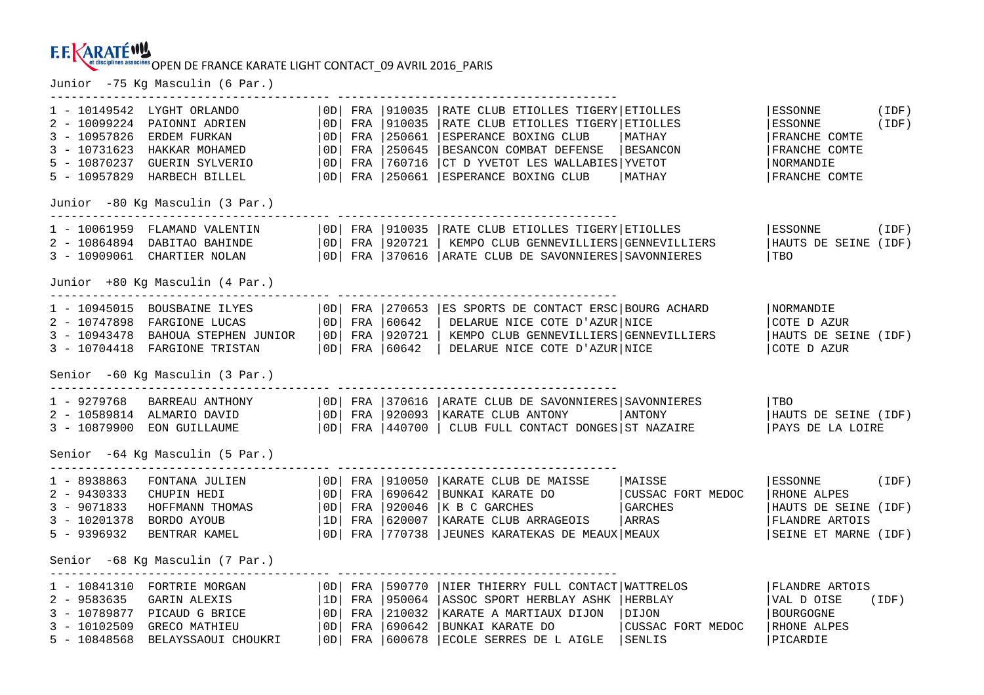#### **F.F. KARATÉWY** et disciplines associées OPEN DE FRANCE KARATE LIGHT CONTACT\_09 AVRIL 2016 PARIS

---------------------------------------- ----------------------------------------

Junior -75 Kg Masculin (6 Par.)

ODI FRA 1910035 IRATE CLUB ETIOLLES TIGERY ETIOLLES 1 - 10149542 LYGHT ORLANDO |0D| FRA |910035 |RATE CLUB ETIOLLES TIGERY|ETIOLLES |ESSONNE (IDF) 2 - 10099224 PAIONNI ADRIEN |0D| FRA |910035 |RATE CLUB ETIOLLES TIGERY|ETIOLLES |ESSONNE (IDF) 3 - 10957826 ERDEM FURKAN | 0D| FRA |250661 |ESPERANCE BOXING CLUB | MATHAY | | FRANCHE COMTE 3 - 10731623 HAKKAR MOHAMED | OD| FRA |250645 |BESANCON COMBAT DEFENSE |BESANCON | FRANCHE COMTE 5 - 10870237 GUERIN SYLVERIO |OD| FRA |760716 |CT D YVETOT LES WALLABIES|YVETOT |NORMANDIE FRANCHE COMTE 5 - 10957829 HARBECH BILLEL | 0D| FRA |250661 |ESPERANCE BOXING CLUB | MATHAY | | |FRANCHE COMTE Junior -80 Kg Masculin (3 Par.) 1 - 10061959 FLAMAND VALENTIN |0D| FRA |910035 |RATE CLUB ETIOLLES TIGERY|ETIOLLES |ESSONNE (IDF) 2 - 10864894 DABITAO BAHINDE |0D| FRA |920721 | KEMPO CLUB GENNEVILLIERS|GENNEVILLIERS |HAUTS DE SEINE (IDF) 3 - 10909061 CHARTIER NOLAN |0D| FRA |370616 |ARATE CLUB DE SAVONNIERES|SAVONNIERES |TBO Junior +80 Kg Masculin (4 Par.) ---------------------------------------- ---------------------------------------- 1 - 10945015 BOUSBAINE ILYES |0D| FRA |270653 |ES SPORTS DE CONTACT ERSC|BOURG ACHARD |NORMANDIE 2 - 10747898 FARGIONE LUCAS |0D| FRA |60642 | DELARUE NICE COTE D'AZUR|NICE |COTE D AZUR 3 - 10943478 BAHOUA STEPHEN JUNIOR |0D| FRA |920721 | KEMPO CLUB GENNEVILLIERS|GENNEVILLIERS |HAUTS DE SEINE (IDF) 3 - 10704418 FARGIONE TRISTAN |0D| FRA |60642 | DELARUE NICE COTE D'AZUR|NICE |COTE D AZUR Senior -60 Kg Masculin (3 Par.) ---------------------------------------- ---------------------------------------- 1 - 9279768 BARREAU ANTHONY |0D| FRA |370616 |ARATE CLUB DE SAVONNIERES|SAVONNIERES |TBO HAUTS DE SEINE (IDF) 2 - 10589814 ALMARIO DAVID | OD| FRA |920093 |KARATE CLUB ANTONY | |ANTONY | HAUTS DE SEINE (IDF) | | 3 - 10879900 EON GUILLAUME |0D| FRA |440700 | CLUB FULL CONTACT DONGES|ST NAZAIRE |PAYS DE LA LOIRE Senior -64 Kg Masculin (5 Par.) 1 - 8938863 FONTANA JULIEN | OD| FRA | 910050 | KARATE CLUB DE MAISSE | MAISSE | ESSONNE (IDF)<br>2 - 943033 CHUPIN HEDI | OD| FRA | 920046 | K B C GARCHES | GARCHES | GARCHES | HAUTS DE SEINE (IDF)<br>3 - 9071833 HOFFMANN THOMA Senior -68 Kg Masculin (7 Par.) ---------------------------------------- ---------------------------------------- | OD | FRA | 590770 | NIER THIERRY FULL CONTACT | WATTRELOS 1 - 10841310 FORTRIE MORGAN |0D| FRA |590770 |NIER THIERRY FULL CONTACT|WATTRELOS |FLANDRE ARTOIS VAL D OISE (IDF) 2 - 9583635 GARIN ALEXIS |1D| FRA |950064 |ASSOC SPORT HERBLAY ASHK |HERBLAY |VAL D OISE (IDF) 3 - 10789877 PICAUD G BRICE |0D| FRA |210032 |KARATE A MARTIAUX DIJON |DIJON |BOURGOGNE 3 - 10102509 GRECO MATHIEU |0D| FRA |690642 |BUNKAI KARATE DO |CUSSAC FORT MEDOC |RHONE ALPES 5 - 10848568 BELAYSSAOUI CHOUKRI |0D| FRA |600678 |ECOLE SERRES DE L AIGLE |SENLIS |PICARDIE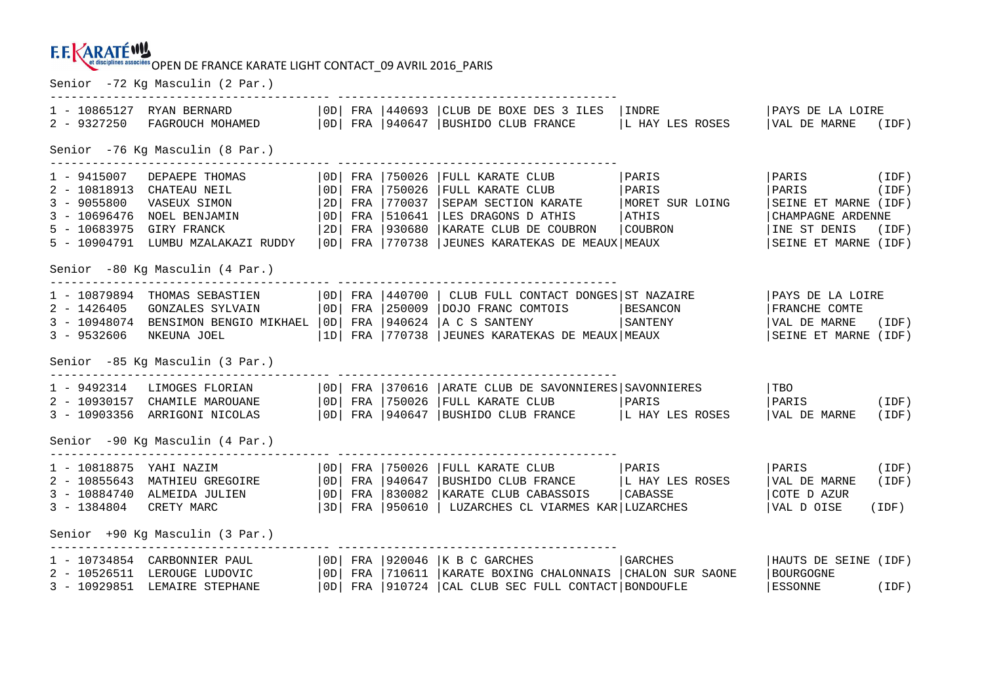Senior -72 Kg Masculin (2 Par.)

| $2 - 9327250$                                     |                                                                                                                                                |  |  |                                                          | 1 - 10865127 RYAN BERNARD $ 0D $ FRA $ 440693 $ CLUB DE BOXE DES 3 ILES<br>FAGROUCH MOHAMED   OD   FRA   940647   BUSHIDO CLUB FRANCE                                                                                                                                                                              | INDRE<br>L HAY LES ROSES                              | PAYS DE LA LOIRE<br>VAL DE MARNE (IDF)                                                                    |                |  |  |  |
|---------------------------------------------------|------------------------------------------------------------------------------------------------------------------------------------------------|--|--|----------------------------------------------------------|--------------------------------------------------------------------------------------------------------------------------------------------------------------------------------------------------------------------------------------------------------------------------------------------------------------------|-------------------------------------------------------|-----------------------------------------------------------------------------------------------------------|----------------|--|--|--|
| Senior -76 Kg Masculin (8 Par.)                   |                                                                                                                                                |  |  |                                                          |                                                                                                                                                                                                                                                                                                                    |                                                       |                                                                                                           |                |  |  |  |
| $1 - 9415007$<br>$3 - 9055800$<br>$5 - 10683975$  | DEPAEPE THOMAS<br>2 - 10818913 CHATEAU NEIL<br>VASEUX SIMON<br>3 - 10696476 NOEL BENJAMIN<br>GIRY FRANCK<br>5 - 10904791 LUMBU MZALAKAZI RUDDY |  |  | 2D  FRA  770037<br>$ 0D $ FRA $ 510641$<br>2D FRA 930680 | $ 0D $ FRA $ 750026$ $ FULL$ KARATE CLUB<br>  OD   FRA   750026   FULL KARATE CLUB   PARIS<br>SEPAM SECTION KARATE<br>LES DRAGONS D ATHIS<br>KARATE CLUB DE COUBRON<br>OD FRA 770738 JJEUNES KARATEKAS DE MEAUX MEAUX                                                                                              | PARIS<br>MORET SUR LOING<br><b>ATHIS</b><br>  COUBRON | PARIS (IDF)<br>PARIS<br>SEINE ET MARNE (IDF)<br>CHAMPAGNE ARDENNE<br>INE ST DENIS<br>SEINE ET MARNE (IDF) | (IDF)<br>(IDF) |  |  |  |
|                                                   | Senior -80 Kg Masculin (4 Par.)                                                                                                                |  |  |                                                          | ----------------------------------                                                                                                                                                                                                                                                                                 |                                                       |                                                                                                           |                |  |  |  |
| 2 - 1426405<br>$3 - 9532606$                      | 1 - 10879894 THOMAS SEBASTIEN<br>NKEUNA JOEL                                                                                                   |  |  |                                                          | OD   FRA   440700   CLUB FULL CONTACT DONGES   ST NAZAIRE<br>GONZALES SYLVAIN   OD  FRA   250009   DOJO FRANC COMTOIS   BESANCON<br>3 - 10948074 BENSIMON BENGIO MIKHAEL   OD   FRA   940624   A C S SANTENY   SANTENY<br> 1D  FRA  770738  JEUNES KARATEKAS DE MEAUX MEAUX                                        |                                                       | PAYS DE LA LOIRE<br>FRANCHE COMTE<br>VAL DE MARNE (IDF)<br>SEINE ET MARNE (IDF)                           |                |  |  |  |
|                                                   | Senior -85 Kg Masculin (3 Par.)                                                                                                                |  |  |                                                          |                                                                                                                                                                                                                                                                                                                    |                                                       |                                                                                                           |                |  |  |  |
|                                                   |                                                                                                                                                |  |  |                                                          | 1 - 9492314 LIMOGES FLORIAN   OD  FRA   370616   ARATE CLUB DE SAVONNIERES   SAVONNIERES<br>2 - 10930157 CHAMILE MAROUANE $ 0D $ FRA 750026 FULL KARATE CLUB $ PARIS $ PARIS $ PARIS $ PARIS (IDF)<br>3 - 10903356 ARRIGONI NICOLAS $ 0D $ FRA 940647 BUSHIDO CLUB FRANCE $ L$ HAY LES ROSES $ VAL$ DE MARNE (IDF) |                                                       | TBO                                                                                                       |                |  |  |  |
|                                                   | Senior -90 Kg Masculin (4 Par.)                                                                                                                |  |  |                                                          |                                                                                                                                                                                                                                                                                                                    |                                                       |                                                                                                           |                |  |  |  |
| 1 - 10818875 YAHI NAZIM<br>3 - 1384804 CRETY MARC | 3 - 10884740 ALMEIDA JULIEN                                                                                                                    |  |  |                                                          | OD   FRA   750026   FULL KARATE CLUB   PARIS<br>2 - 10855643 MATHIEU GREGOIRE $ 0D $ FRA $ 940647$ BUSHIDO CLUB FRANCE $ L$ HAY LES ROSES<br>OD FRA 830082 KARATE CLUB CABASSOIS   CABASSE<br> 3D  FRA  950610   LUZARCHES CL VIARMES KAR LUZARCHES                                                                |                                                       | PARIS (IDF)<br>VAL DE MARNE<br>COTE D AZUR<br>VAL D OISE                                                  | (IDF)<br>(IDF) |  |  |  |
|                                                   | Senior +90 Kg Masculin (3 Par.)                                                                                                                |  |  |                                                          |                                                                                                                                                                                                                                                                                                                    |                                                       |                                                                                                           |                |  |  |  |
|                                                   | 3 - 10929851 LEMAIRE STEPHANE                                                                                                                  |  |  |                                                          | $1 - 10734854$ CARBONNIER PAUL $ 0D $ FRA $ 920046 $ K B C GARCHES<br>2 - 10526511 LEROUGE LUDOVIC   OD   FRA   710611   KARATE BOXING CHALONNAIS   CHALON SUR SAONE<br>  0D   FRA   910724   CAL CLUB SEC FULL CONTACT   BONDOUFLE                                                                                | <b>GARCHES</b>                                        | HAUTS DE SEINE (IDF)<br>BOURGOGNE<br>ESSONNE (IDF)                                                        |                |  |  |  |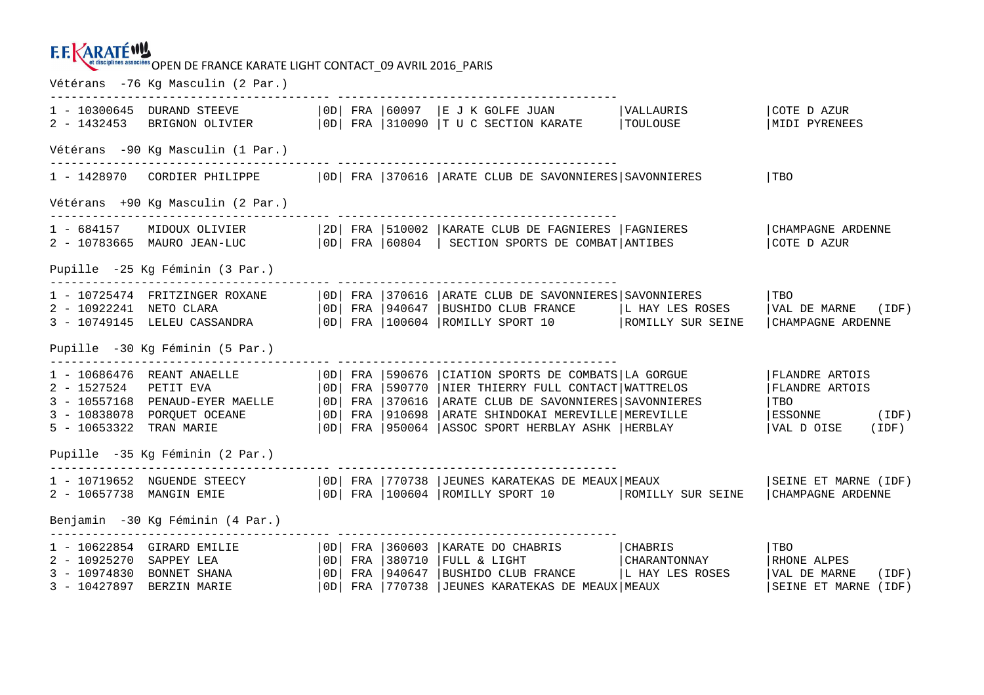#### **E.E.KARATÉWY** et disciplines associées OPEN DE FRANCE KARATE LIGHT CONTACT\_09 AVRIL 2016 PARIS

Vétérans -76 Kg Masculin (2 Par.) ---------------------------------------- ---------------------------------------- 1 - 10300645 DURAND STEEVE |0D| FRA |60097 |E J K GOLFE JUAN |VALLAURIS |COTE D AZUR 2 - 1432453 BRIGNON OLIVIER | OD| FRA |310090 |T U C SECTION KARATE | TOULOUSE |MIDI PYRENEES Vétérans -90 Kg Masculin (1 Par.) ---------------------------------------- ---------------------------------------- 1 - 1428970 CORDIER PHILIPPE | OD| FRA | 370616 | ARATE CLUB DE SAVONNIERES | SAVONNIERES | TBO Vétérans +90 Kg Masculin (2 Par.) 1 - 684157 MIDOUX OLIVIER |2D| FRA |510002 |KARATE CLUB DE FAGNIERES |FAGNIERES |CHAMPAGNE ARDENNE 2 - 10783665 MAURO JEAN-LUC |0D| FRA |60804 | SECTION SPORTS DE COMBAT|ANTIBES |COTE D AZUR Pupille -25 Kg Féminin (3 Par.) ---------------------------------------- ---------------------------------------- 1 - 10725474 FRITZINGER ROXANE |0D| FRA |370616 |ARATE CLUB DE SAVONNIERES|SAVONNIERES |TBO 2 - 10922241 NETO CLARA |0D| FRA |940647 |BUSHIDO CLUB FRANCE |L HAY LES ROSES |VAL DE MARNE (IDF) 3 - 10749145 LELEU CASSANDRA |0D| FRA |100604 |ROMILLY SPORT 10 |ROMILLY SUR SEINE |CHAMPAGNE ARDENNE Pupille -30 Kg Féminin (5 Par.) ---------------------------------------- ---------------------------------------- 1 - 10686476 REANT ANAELLE | 0D| FRA | 590676 | CIATION SPORTS DE COMBATS|LA GORGUE | FLANDRE ARTOIS<br>2 - 1527524 PETIT EVA | 0D| FRA | 590770 | NIER THIERRY FULL CONTACT|WATTRELOS | FLANDRE ARTOIS<br>3 - 10557168 PENAUD-EYER Pupille -35 Kg Féminin (2 Par.) ---------------------------------------- ---------------------------------------- 1 - 10719652 NGUENDE STEECY | OD| FRA |770738 |JEUNES KARATEKAS DE MEAUX|MEAUX | SEINE ET MARNE (IDF) 2 - 10657738 MANGIN EMIE | 0D| FRA |100604 |ROMILLY SPORT 10 | ROMILLY SUR SEINE | CHAMPAGNE ARDENNE Benjamin -30 Kg Féminin (4 Par.) ---------------------------------------- ---------------------------------------- **CHABRIS** 1 - 10622854 GIRARD EMILIE | 0D| FRA | 360603 | KARATE DO CHABRIS | CHABRIS | TBO 2 - 10925270 SAPPEY LEA |0D| FRA |380710 |FULL & LIGHT |CHARANTONNAY |RHONE ALPES 3 - 10974830 BONNET SHANA |OD| FRA |940647 |BUSHIDO CLUB FRANCE |L HAY LES ROSES |VAL DE MARNE (IDF)<br>3 - 10427897 BERZIN MARIE |OD| FRA |770738 |JEUNES KARATEKAS DE MEAUX|MEAUX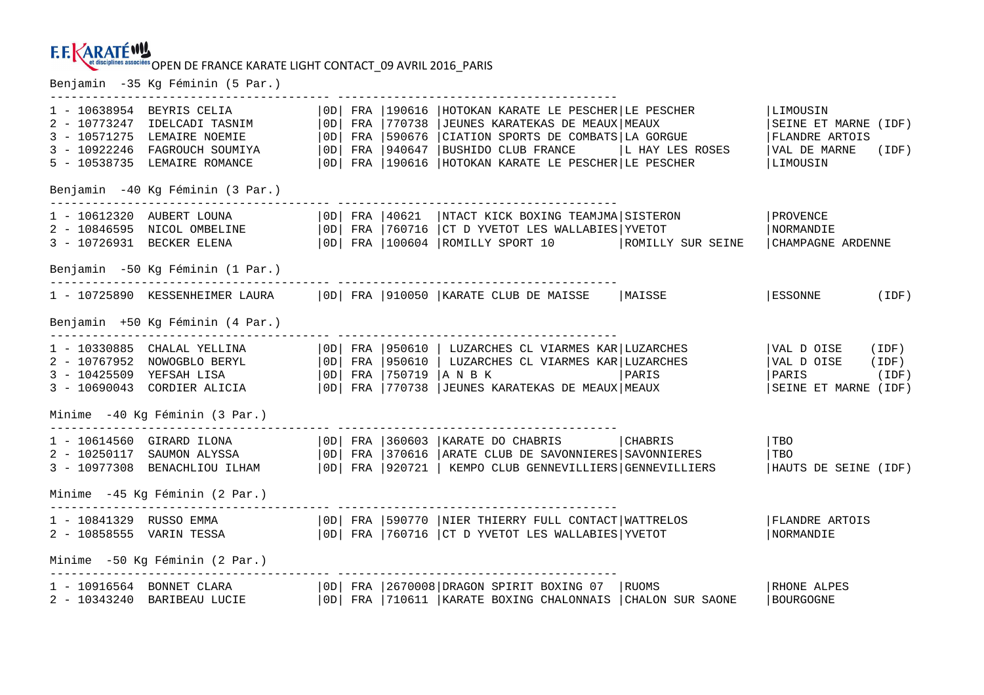Benjamin -35 Kg Féminin (5 Par.)

| 1 - 10638954 BEYRIS CELIA<br>2 - 10773247 IDELCADI TASNIM<br>3 - 10571275 LEMAIRE NOEMIE<br>3 - 10922246 FAGROUCH SOUMIYA<br>5 - 10538735 LEMAIRE ROMANCE                                                                                 | $ OD $ FRA | 770738<br>$ 0D $ FRA $ 590676$<br>  OD   FRA   940647 |                          | OD  FRA   190616   HOTOKAN KARATE LE PESCHER   LE PESCHER<br>JEUNES KARATEKAS DE MEAUX MEAUX<br>  OD  FRA   190616   HOTOKAN KARATE LE PESCHER   LE PESCHER | CIATION SPORTS DE COMBATS LA GORGUE<br> BUSHIDO CLUB FRANCE    L HAY LES ROSES                                                                                                     | LIMOUSIN<br>SEINE ET MARNE (IDF)<br>FLANDRE ARTOIS<br>VAL DE MARNE (IDF)<br>LIMOUSIN |       |
|-------------------------------------------------------------------------------------------------------------------------------------------------------------------------------------------------------------------------------------------|------------|-------------------------------------------------------|--------------------------|-------------------------------------------------------------------------------------------------------------------------------------------------------------|------------------------------------------------------------------------------------------------------------------------------------------------------------------------------------|--------------------------------------------------------------------------------------|-------|
| Benjamin -40 Kg Féminin (3 Par.)                                                                                                                                                                                                          |            |                                                       |                          |                                                                                                                                                             |                                                                                                                                                                                    |                                                                                      |       |
| $1 - 10612320$ AUBERT LOUNA $ 0D $ FRA $ 40621$<br>2 - 10846595 NICOL OMBELINE   OD  FRA   760716   CT D YVETOT LES WALLABIES   YVETOT<br>3 - 10726931 BECKER ELENA   0D   FRA   100604   ROMILLY SPORT 10   ROMILLY SUR SEINE            |            |                                                       |                          |                                                                                                                                                             | NTACT KICK BOXING TEAMJMA SISTERON                                                                                                                                                 | PROVENCE<br><b>NORMANDIE</b><br>CHAMPAGNE ARDENNE                                    |       |
| Benjamin -50 Kg Féminin (1 Par.)                                                                                                                                                                                                          |            |                                                       |                          |                                                                                                                                                             |                                                                                                                                                                                    |                                                                                      |       |
| 1 - 10725890 KESSENHEIMER LAURA     0D   FRA   910050   KARATE CLUB DE MAISSE   MAISSE                                                                                                                                                    |            |                                                       |                          |                                                                                                                                                             |                                                                                                                                                                                    | $ ESSONNE$ (IDF)                                                                     |       |
| Benjamin +50 Kg Féminin (4 Par.)                                                                                                                                                                                                          |            |                                                       |                          |                                                                                                                                                             |                                                                                                                                                                                    |                                                                                      |       |
| 1 - 10330885 CHALAL YELLINA   OD  FRA   950610   LUZARCHES CL VIARMES KAR  LUZARCHES<br>2 - 10767952 NOWOGBLO BERYL   OD   FRA   950610   LUZARCHES CL VIARMES KAR   LUZARCHES<br>3 - 10425509 YEFSAH LISA<br>3 - 10690043 CORDIER ALICIA |            |                                                       | 0D   FRA   750719   ANBK | OD   FRA   770738   JEUNES KARATEKAS DE MEAUX   MEAUX                                                                                                       | PARIS                                                                                                                                                                              | VAL D OISE<br>VAL D OISE (IDF)<br>$\vert$ PARIS (IDF)<br>SEINE ET MARNE (IDF)        | (IDF) |
| Minime -40 Kg Féminin (3 Par.)                                                                                                                                                                                                            |            |                                                       |                          | _______________________________                                                                                                                             |                                                                                                                                                                                    |                                                                                      |       |
| 1 - 10614560 GIRARD ILONA<br>2 - 10250117 SAUMON ALYSSA<br>3 - 10977308 BENACHLIOU ILHAM                                                                                                                                                  |            |                                                       |                          |                                                                                                                                                             | OD   FRA   360603   KARATE DO CHABRIS   CHABRIS<br>  OD   FRA   370616   ARATE CLUB DE SAVONNIERES   SAVONNIERES<br>  0D   FRA   920721   KEMPO CLUB GENNEVILLIERS   GENNEVILLIERS | l TBO<br> TBO<br>HAUTS DE SEINE (IDF)                                                |       |
| Minime -45 Kg Féminin (2 Par.)                                                                                                                                                                                                            |            |                                                       |                          |                                                                                                                                                             |                                                                                                                                                                                    |                                                                                      |       |
| 1 - 10841329 RUSSO EMMA   OD   FRA   590770   NIER THIERRY FULL CONTACT   WATTRELOS<br>2 - 10858555 VARIN TESSA (OD) FRA 760716 CT D YVETOT LES WALLABIES YVETOT                                                                          |            |                                                       |                          |                                                                                                                                                             |                                                                                                                                                                                    | <b>FLANDRE ARTOIS</b><br>NORMANDIE                                                   |       |
| Minime -50 Kq Féminin (2 Par.)                                                                                                                                                                                                            |            |                                                       |                          |                                                                                                                                                             |                                                                                                                                                                                    |                                                                                      |       |
| 1 - 10916564 BONNET CLARA<br>2 - 10343240 BARIBEAU LUCIE   0D   FRA   710611   KARATE BOXING CHALONNAIS   CHALON SUR SAONE                                                                                                                |            |                                                       |                          | 0D   FRA   2670008   DRAGON SPIRIT BOXING 07   RUOMS                                                                                                        |                                                                                                                                                                                    | RHONE ALPES<br>BOURGOGNE                                                             |       |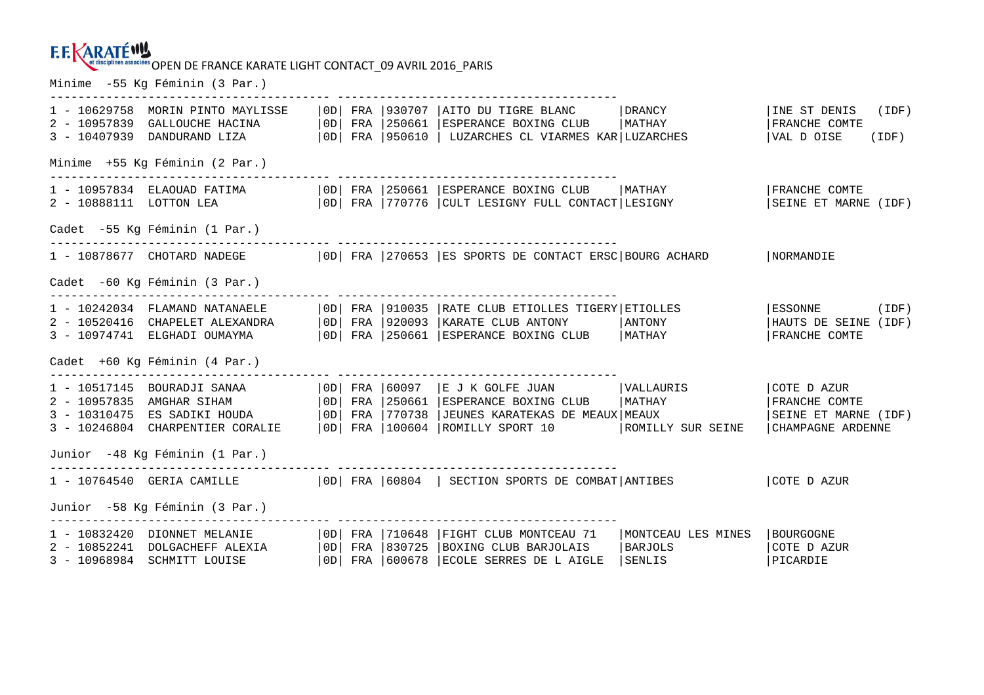Minime -55 Kg Féminin (3 Par.)

| $3 - 10407939$ | 1 - 10629758 MORIN PINTO MAYLISSE<br>2 - 10957839 GALLOUCHE HACINA<br>DANDURAND LIZA                                                                             | OD | FRA 1250661                                          | OD  FRA  930707  AITO DU TIGRE BLANC<br>ESPERANCE BOXING CLUB<br> OD  FRA  950610   LUZARCHES CL VIARMES KAR LUZARCHES                                                       | DRANCY<br>  MATHAY                      | INE ST DENIS<br>(IDF)<br>FRANCHE COMTE<br>VAL D OISE<br>(IDF)             |
|----------------|------------------------------------------------------------------------------------------------------------------------------------------------------------------|----|------------------------------------------------------|------------------------------------------------------------------------------------------------------------------------------------------------------------------------------|-----------------------------------------|---------------------------------------------------------------------------|
|                | Minime +55 Kq Féminin (2 Par.)                                                                                                                                   |    |                                                      |                                                                                                                                                                              |                                         |                                                                           |
|                | 2 - 10888111 LOTTON LEA                                                                                                                                          |    |                                                      | $ 0D $ FRA $ 770776$ $ CULT$ LESIGNY FULL CONTACT LESIGNY                                                                                                                    |                                         | FRANCHE COMTE<br>SEINE ET MARNE (IDF)                                     |
|                | Cadet -55 Kg Féminin (1 Par.)                                                                                                                                    |    |                                                      |                                                                                                                                                                              |                                         |                                                                           |
|                |                                                                                                                                                                  |    |                                                      | 1 - 10878677 CHOTARD NADEGE   0D   FRA   270653   ES SPORTS DE CONTACT ERSC   BOURG ACHARD                                                                                   |                                         | NORMANDIE                                                                 |
|                | Cadet -60 Kg Féminin (3 Par.)                                                                                                                                    |    |                                                      |                                                                                                                                                                              |                                         |                                                                           |
|                | 1 - 10242034 FLAMAND NATANAELE<br>2 - 10520416 CHAPELET ALEXANDRA<br>3 - 10974741 ELGHADI OUMAYMA                                                                |    |                                                      | OD  FRA   910035   RATE CLUB ETIOLLES TIGERY   ETIOLLES<br>  0D   FRA   920093   KARATE CLUB ANTONY<br>OD   FRA   250661   ESPERANCE BOXING CLUB   MATHAY                    | ANTONY                                  | ESSONNE<br>(IDF)<br>HAUTS DE SEINE (IDF)<br>FRANCHE COMTE                 |
|                | Cadet +60 Kg Féminin (4 Par.)                                                                                                                                    |    |                                                      |                                                                                                                                                                              |                                         |                                                                           |
|                | 1 - 10517145   BOURADJI SANAA<br>2 - 10957835 AMGHAR SIHAM<br>3 - 10310475 ES SADIKI HOUDA<br>3 - 10246804 CHARPENTIER CORALIE<br>Junior -48 Kg Féminin (1 Par.) | OD | $ 0D $ FRA $ 250661$<br>FRA 1770738                  | $ 0D $ FRA $ 60097 $ E J K GOLFE JUAN $ VALLAURIS $<br>ESPERANCE BOXING CLUB<br>JEUNES KARATEKAS DE MEAUX MEAUX<br>  OD  FRA   100604   ROMILLY SPORT 10   ROMILLY SUR SEINE | <b>MATHAY</b>                           | COTE D AZUR<br>FRANCHE COMTE<br>SEINE ET MARNE (IDF)<br>CHAMPAGNE ARDENNE |
|                |                                                                                                                                                                  |    |                                                      | 1 - 10764540 GERIA CAMILLE   0D   FRA   60804   SECTION SPORTS DE COMBAT   ANTIBES                                                                                           |                                         | COTE D AZUR                                                               |
|                | Junior -58 Kg Féminin (3 Par.)                                                                                                                                   |    |                                                      |                                                                                                                                                                              |                                         |                                                                           |
|                | 1 - 10832420 DIONNET MELANIE<br>2 - 10852241 DOLGACHEFF ALEXIA<br>3 - 10968984 SCHMITT LOUISE                                                                    | OD | 0D   FRA   710648<br>FRA 1830725<br> OD  FRA 1600678 | FIGHT CLUB MONTCEAU 71<br>BOXING CLUB BARJOLAIS<br>ECOLE SERRES DE L AIGLE                                                                                                   | MONTCEAU LES MINES<br>BARJOLS<br>SENLIS | BOURGOGNE<br>COTE D AZUR<br>PICARDIE                                      |